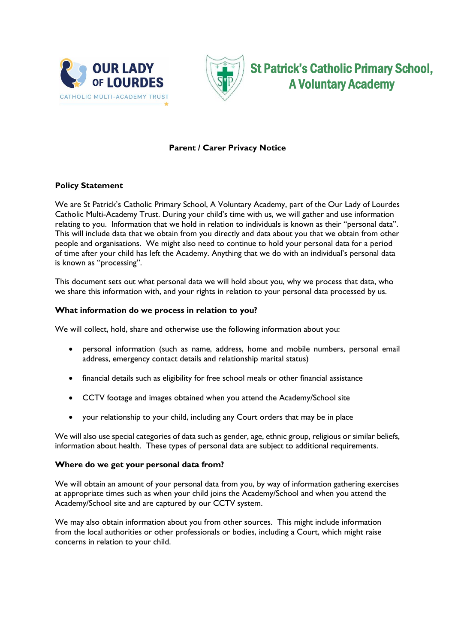



St Patrick's Catholic Primary School, A Voluntary Academy

# **Parent / Carer Privacy Notice**

## **Policy Statement**

We are St Patrick's Catholic Primary School, A Voluntary Academy, part of the Our Lady of Lourdes Catholic Multi-Academy Trust. During your child's time with us, we will gather and use information relating to you. Information that we hold in relation to individuals is known as their "personal data". This will include data that we obtain from you directly and data about you that we obtain from other people and organisations. We might also need to continue to hold your personal data for a period of time after your child has left the Academy. Anything that we do with an individual's personal data is known as "processing".

This document sets out what personal data we will hold about you, why we process that data, who we share this information with, and your rights in relation to your personal data processed by us.

## **What information do we process in relation to you?**

We will collect, hold, share and otherwise use the following information about you:

- personal information (such as name, address, home and mobile numbers, personal email address, emergency contact details and relationship marital status)
- financial details such as eligibility for free school meals or other financial assistance
- CCTV footage and images obtained when you attend the Academy/School site
- your relationship to your child, including any Court orders that may be in place

We will also use special categories of data such as gender, age, ethnic group, religious or similar beliefs, information about health. These types of personal data are subject to additional requirements.

#### **Where do we get your personal data from?**

We will obtain an amount of your personal data from you, by way of information gathering exercises at appropriate times such as when your child joins the Academy/School and when you attend the Academy/School site and are captured by our CCTV system.

We may also obtain information about you from other sources. This might include information from the local authorities or other professionals or bodies, including a Court, which might raise concerns in relation to your child.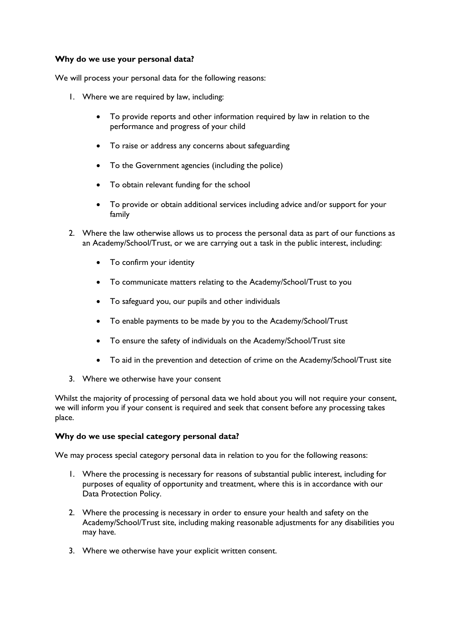## **Why do we use your personal data?**

We will process your personal data for the following reasons:

- 1. Where we are required by law, including:
	- To provide reports and other information required by law in relation to the performance and progress of your child
	- To raise or address any concerns about safeguarding
	- To the Government agencies (including the police)
	- To obtain relevant funding for the school
	- To provide or obtain additional services including advice and/or support for your family
- 2. Where the law otherwise allows us to process the personal data as part of our functions as an Academy/School/Trust, or we are carrying out a task in the public interest, including:
	- To confirm your identity
	- To communicate matters relating to the Academy/School/Trust to you
	- To safeguard you, our pupils and other individuals
	- To enable payments to be made by you to the Academy/School/Trust
	- To ensure the safety of individuals on the Academy/School/Trust site
	- To aid in the prevention and detection of crime on the Academy/School/Trust site
- 3. Where we otherwise have your consent

Whilst the majority of processing of personal data we hold about you will not require your consent, we will inform you if your consent is required and seek that consent before any processing takes place.

#### **Why do we use special category personal data?**

We may process special category personal data in relation to you for the following reasons:

- 1. Where the processing is necessary for reasons of substantial public interest, including for purposes of equality of opportunity and treatment, where this is in accordance with our Data Protection Policy.
- 2. Where the processing is necessary in order to ensure your health and safety on the Academy/School/Trust site, including making reasonable adjustments for any disabilities you may have.
- 3. Where we otherwise have your explicit written consent.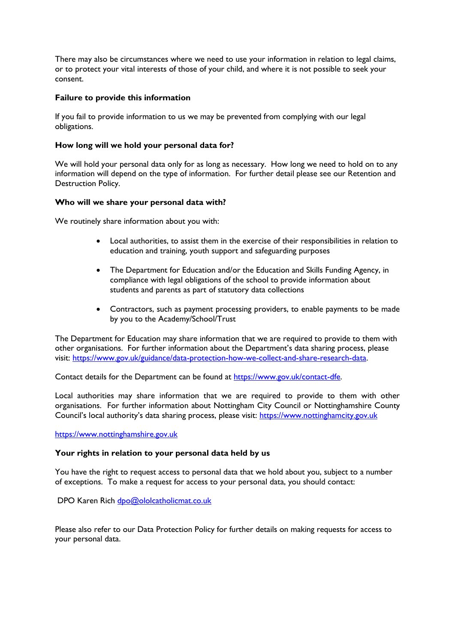There may also be circumstances where we need to use your information in relation to legal claims, or to protect your vital interests of those of your child, and where it is not possible to seek your consent.

## **Failure to provide this information**

If you fail to provide information to us we may be prevented from complying with our legal obligations.

#### **How long will we hold your personal data for?**

We will hold your personal data only for as long as necessary. How long we need to hold on to any information will depend on the type of information. For further detail please see our Retention and Destruction Policy.

## **Who will we share your personal data with?**

We routinely share information about you with:

- Local authorities, to assist them in the exercise of their responsibilities in relation to education and training, youth support and safeguarding purposes
- The Department for Education and/or the Education and Skills Funding Agency, in compliance with legal obligations of the school to provide information about students and parents as part of statutory data collections
- Contractors, such as payment processing providers, to enable payments to be made by you to the Academy/School/Trust

The Department for Education may share information that we are required to provide to them with other organisations. For further information about the Department's data sharing process, please visit: [https://www.gov.uk/guidance/data-protection-how-we-collect-and-share-research-data.](https://www.gov.uk/guidance/data-protection-how-we-collect-and-share-research-data)

Contact details for the Department can be found at [https://www.gov.uk/contact-dfe.](https://www.gov.uk/contact-dfe)

Local authorities may share information that we are required to provide to them with other organisations. For further information about Nottingham City Council or Nottinghamshire County Council's local authority's data sharing process, please visit: [https://www.nottinghamcity.gov.uk](https://www.nottinghamcity.gov.uk/)

https://www.nottinghamshire.gov.uk

#### **Your rights in relation to your personal data held by us**

You have the right to request access to personal data that we hold about you, subject to a number of exceptions. To make a request for access to your personal data, you should contact:

DPO Karen Rich [dpo@ololcatholicmat.co.uk](mailto:dpo@ololcatholicmat.co.uk)

Please also refer to our Data Protection Policy for further details on making requests for access to your personal data.